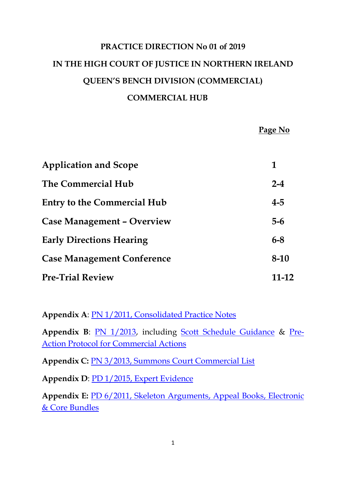# **PRACTICE DIRECTION No 01 of 2019 IN THE HIGH COURT OF JUSTICE IN NORTHERN IRELAND QUEEN'S BENCH DIVISION (COMMERCIAL) COMMERCIAL HUB**

**Page No**

| <b>Application and Scope</b>       | 1       |
|------------------------------------|---------|
| The Commercial Hub                 | $2 - 4$ |
| <b>Entry to the Commercial Hub</b> | $4 - 5$ |
| <b>Case Management - Overview</b>  | $5-6$   |
| <b>Early Directions Hearing</b>    | $6 - 8$ |
| <b>Case Management Conference</b>  | $8-10$  |
| <b>Pre-Trial Review</b>            | 11-12   |

**Appendix A**: [PN 1/2011, Consolidated Practice Notes](https://judiciaryni.uk/sites/judiciary/files/decisions/Consolidated%20Practice%20Notes%201-2011.pdf)

**Appendix B**: [PN 1/2013,](https://judiciaryni.uk/sites/judiciary/files/decisions/Practice%20Note%2001-13%20-%20Commercial%20Practice%20Note.pdf) including [Scott Schedule Guidance](https://judiciaryni.uk/sites/judiciary/files/decisions/Commercial%20Actions%20-%20Scott%20Schedule%20%E2%80%93%20Guidance%20Note.pdf) & [Pre-](https://judiciaryni.uk/sites/judiciary/files/decisions/Pre%20Action%20Protocol%20for%20Commercial%20Actions.pdf)[Action Protocol for Commercial Actions](https://judiciaryni.uk/sites/judiciary/files/decisions/Pre%20Action%20Protocol%20for%20Commercial%20Actions.pdf)

**Appendix C:** [PN 3/2013, Summons Court Commercial List](https://judiciaryni.uk/sites/judiciary/files/decisions/Practice%20Note%203%20of%202013.pdf)

**Appendix D**: [PD 1/2015, Expert Evidence](https://judiciaryni.uk/sites/judiciary/files/decisions/Practice%20Direction%201%20of%202015%20%20Expert%20Evidence.pdf)

**Appendix E:** [PD 6/2011, Skeleton Arguments, Appeal Books, Electronic](https://judiciaryni.uk/sites/judiciary/files/decisions/Practice%20Direction%20No%206%20of%202011.pdf)  [& Core Bundles](https://judiciaryni.uk/sites/judiciary/files/decisions/Practice%20Direction%20No%206%20of%202011.pdf)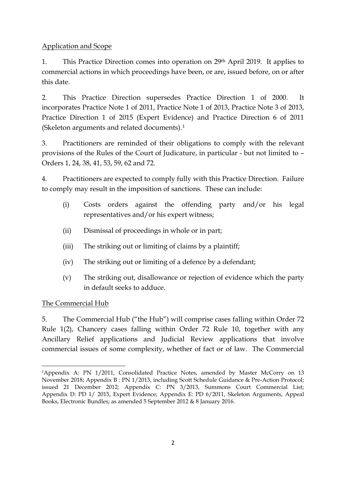Application and Scope

1. This Practice Direction comes into operation on 29th April 2019. It applies to commercial actions in which proceedings have been, or are, issued before, on or after this date.

2. This Practice Direction supersedes Practice Direction 1 of 2000. It incorporates Practice Note 1 of 2011, Practice Note 1 of 2013, Practice Note 3 of 2013, Practice Direction 1 of 2015 (Expert Evidence) and Practice Direction 6 of 2011 (Skeleton arguments and related documents).[1](#page-1-0)

3. Practitioners are reminded of their obligations to comply with the relevant provisions of the Rules of the Court of Judicature, in particular - but not limited to – Orders 1, 24, 38, 41, 53, 59, 62 and 72.

4. Practitioners are expected to comply fully with this Practice Direction. Failure to comply may result in the imposition of sanctions. These can include:

- (i) Costs orders against the offending party and/or his legal representatives and/or his expert witness;
- (ii) Dismissal of proceedings in whole or in part;
- (iii) The striking out or limiting of claims by a plaintiff;
- (iv) The striking out or limiting of a defence by a defendant;
- (v) The striking out, disallowance or rejection of evidence which the party in default seeks to adduce.

The Commercial Hub

5. The Commercial Hub ("the Hub") will comprise cases falling within Order 72 Rule 1(2), Chancery cases falling within Order 72 Rule 10, together with any Ancillary Relief applications and Judicial Review applications that involve commercial issues of some complexity, whether of fact or of law. The Commercial

<span id="page-1-0"></span>**<sup>.</sup>** 1Appendix A: PN 1/2011, Consolidated Practice Notes, amended by Master McCorry on 13 November 2018; Appendix B : PN 1/2013, including Scott Schedule Guidance & Pre-Action Protocol; issued 21 December 2012; Appendix C: PN 3/2013, Summons Court Commercial List; Appendix D: PD 1/ 2015, Expert Evidence; Appendix E: PD 6/2011, Skeleton Arguments, Appeal Books, Electronic Bundles; as amended 5 September 2012 & 8 January 2016.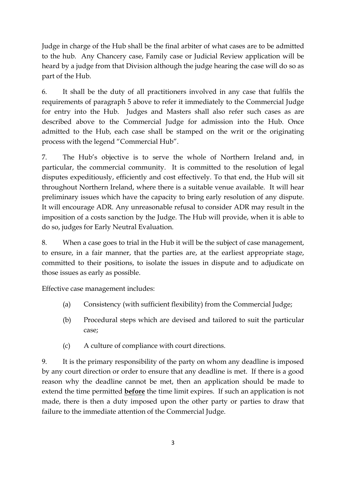Judge in charge of the Hub shall be the final arbiter of what cases are to be admitted to the hub. Any Chancery case, Family case or Judicial Review application will be heard by a judge from that Division although the judge hearing the case will do so as part of the Hub.

6. It shall be the duty of all practitioners involved in any case that fulfils the requirements of paragraph 5 above to refer it immediately to the Commercial Judge for entry into the Hub. Judges and Masters shall also refer such cases as are described above to the Commercial Judge for admission into the Hub. Once admitted to the Hub, each case shall be stamped on the writ or the originating process with the legend "Commercial Hub".

7. The Hub's objective is to serve the whole of Northern Ireland and, in particular, the commercial community. It is committed to the resolution of legal disputes expeditiously, efficiently and cost effectively. To that end, the Hub will sit throughout Northern Ireland, where there is a suitable venue available. It will hear preliminary issues which have the capacity to bring early resolution of any dispute. It will encourage ADR. Any unreasonable refusal to consider ADR may result in the imposition of a costs sanction by the Judge. The Hub will provide, when it is able to do so, judges for Early Neutral Evaluation.

8. When a case goes to trial in the Hub it will be the subject of case management, to ensure, in a fair manner, that the parties are, at the earliest appropriate stage, committed to their positions, to isolate the issues in dispute and to adjudicate on those issues as early as possible.

Effective case management includes:

- (a) Consistency (with sufficient flexibility) from the Commercial Judge;
- (b) Procedural steps which are devised and tailored to suit the particular case;
- (c) A culture of compliance with court directions.

9. It is the primary responsibility of the party on whom any deadline is imposed by any court direction or order to ensure that any deadline is met. If there is a good reason why the deadline cannot be met, then an application should be made to extend the time permitted **before** the time limit expires. If such an application is not made, there is then a duty imposed upon the other party or parties to draw that failure to the immediate attention of the Commercial Judge.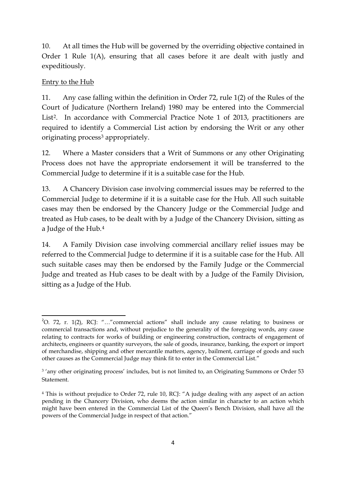10. At all times the Hub will be governed by the overriding objective contained in Order 1 Rule 1(A), ensuring that all cases before it are dealt with justly and expeditiously.

## Entry to the Hub

11. Any case falling within the definition in Order 72, rule 1(2) of the Rules of the Court of Judicature (Northern Ireland) 1980 may be entered into the Commercial List<sup>[2](#page-3-0)</sup>. In accordance with Commercial Practice Note 1 of 2013, practitioners are required to identify a Commercial List action by endorsing the Writ or any other originating process<sup>[3](#page-3-1)</sup> appropriately.

12. Where a Master considers that a Writ of Summons or any other Originating Process does not have the appropriate endorsement it will be transferred to the Commercial Judge to determine if it is a suitable case for the Hub.

13. A Chancery Division case involving commercial issues may be referred to the Commercial Judge to determine if it is a suitable case for the Hub. All such suitable cases may then be endorsed by the Chancery Judge or the Commercial Judge and treated as Hub cases, to be dealt with by a Judge of the Chancery Division, sitting as a Judge of the Hub.[4](#page-3-2)

14. A Family Division case involving commercial ancillary relief issues may be referred to the Commercial Judge to determine if it is a suitable case for the Hub. All such suitable cases may then be endorsed by the Family Judge or the Commercial Judge and treated as Hub cases to be dealt with by a Judge of the Family Division, sitting as a Judge of the Hub.

<span id="page-3-0"></span> $\frac{1}{2}$ <sup>2</sup>O. 72, r. 1(2), RCJ: "..." commercial actions" shall include any cause relating to business or commercial transactions and, without prejudice to the generality of the foregoing words, any cause relating to contracts for works of building or engineering construction, contracts of engagement of architects, engineers or quantity surveyors, the sale of goods, insurance, banking, the export or import of merchandise, shipping and other mercantile matters, agency, bailment, carriage of goods and such other causes as the Commercial Judge may think fit to enter in the Commercial List."

<span id="page-3-1"></span><sup>&</sup>lt;sup>3</sup>'any other originating process' includes, but is not limited to, an Originating Summons or Order 53 Statement.

<span id="page-3-2"></span><sup>4</sup> This is without prejudice to Order 72, rule 10, RCJ: "A judge dealing with any aspect of an action pending in the Chancery Division, who deems the action similar in character to an action which might have been entered in the Commercial List of the Queen's Bench Division, shall have all the powers of the Commercial Judge in respect of that action."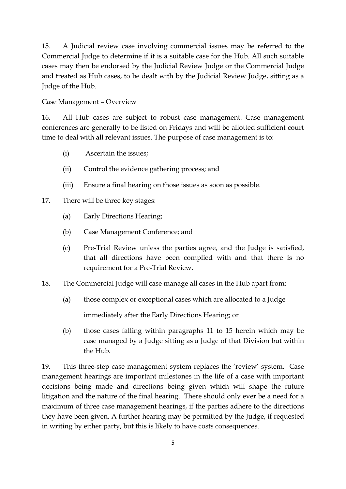15. A Judicial review case involving commercial issues may be referred to the Commercial Judge to determine if it is a suitable case for the Hub. All such suitable cases may then be endorsed by the Judicial Review Judge or the Commercial Judge and treated as Hub cases, to be dealt with by the Judicial Review Judge, sitting as a Judge of the Hub.

#### Case Management – Overview

16. All Hub cases are subject to robust case management. Case management conferences are generally to be listed on Fridays and will be allotted sufficient court time to deal with all relevant issues. The purpose of case management is to:

- (i) Ascertain the issues;
- (ii) Control the evidence gathering process; and
- (iii) Ensure a final hearing on those issues as soon as possible.

### 17. There will be three key stages:

- (a) Early Directions Hearing;
- (b) Case Management Conference; and
- (c) Pre-Trial Review unless the parties agree, and the Judge is satisfied, that all directions have been complied with and that there is no requirement for a Pre-Trial Review.
- 18. The Commercial Judge will case manage all cases in the Hub apart from:
	- (a) those complex or exceptional cases which are allocated to a Judge

immediately after the Early Directions Hearing; or

(b) those cases falling within paragraphs 11 to 15 herein which may be case managed by a Judge sitting as a Judge of that Division but within the Hub.

19. This three-step case management system replaces the 'review' system. Case management hearings are important milestones in the life of a case with important decisions being made and directions being given which will shape the future litigation and the nature of the final hearing. There should only ever be a need for a maximum of three case management hearings, if the parties adhere to the directions they have been given. A further hearing may be permitted by the Judge, if requested in writing by either party, but this is likely to have costs consequences.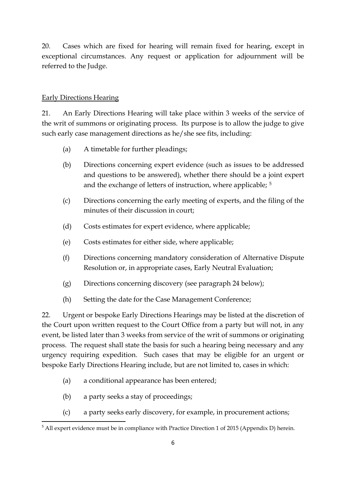20. Cases which are fixed for hearing will remain fixed for hearing, except in exceptional circumstances. Any request or application for adjournment will be referred to the Judge.

### Early Directions Hearing

21. An Early Directions Hearing will take place within 3 weeks of the service of the writ of summons or originating process. Its purpose is to allow the judge to give such early case management directions as he/she see fits, including:

- (a) A timetable for further pleadings;
- (b) Directions concerning expert evidence (such as issues to be addressed and questions to be answered), whether there should be a joint expert and the exchange of letters of instruction, where applicable; [5](#page-5-0)
- (c) Directions concerning the early meeting of experts, and the filing of the minutes of their discussion in court;
- (d) Costs estimates for expert evidence, where applicable;
- (e) Costs estimates for either side, where applicable;
- (f) Directions concerning mandatory consideration of Alternative Dispute Resolution or, in appropriate cases, Early Neutral Evaluation;
- (g) Directions concerning discovery (see paragraph 24 below);
- (h) Setting the date for the Case Management Conference;

22. Urgent or bespoke Early Directions Hearings may be listed at the discretion of the Court upon written request to the Court Office from a party but will not, in any event, be listed later than 3 weeks from service of the writ of summons or originating process. The request shall state the basis for such a hearing being necessary and any urgency requiring expedition. Such cases that may be eligible for an urgent or bespoke Early Directions Hearing include, but are not limited to, cases in which:

- (a) a conditional appearance has been entered;
- (b) a party seeks a stay of proceedings;
- (c) a party seeks early discovery, for example, in procurement actions;

<span id="page-5-0"></span><sup>&</sup>lt;sup>5</sup> All expert evidence must be in compliance with Practice Direction 1 of 2015 (Appendix D) herein.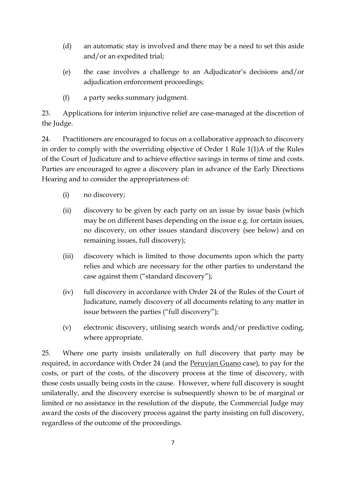- (d) an automatic stay is involved and there may be a need to set this aside and/or an expedited trial;
- (e) the case involves a challenge to an Adjudicator's decisions and/or adjudication enforcement proceedings;
- (f) a party seeks summary judgment.

23. Applications for interim injunctive relief are case-managed at the discretion of the Judge.

24. Practitioners are encouraged to focus on a collaborative approach to discovery in order to comply with the overriding objective of Order 1 Rule 1(1)A of the Rules of the Court of Judicature and to achieve effective savings in terms of time and costs. Parties are encouraged to agree a discovery plan in advance of the Early Directions Hearing and to consider the appropriateness of:

- (i) no discovery;
- (ii) discovery to be given by each party on an issue by issue basis (which may be on different bases depending on the issue e.g. for certain issues, no discovery, on other issues standard discovery (see below) and on remaining issues, full discovery);
- (iii) discovery which is limited to those documents upon which the party relies and which are necessary for the other parties to understand the case against them ("standard discovery");
- (iv) full discovery in accordance with Order 24 of the Rules of the Court of Judicature, namely discovery of all documents relating to any matter in issue between the parties ("full discovery");
- (v) electronic discovery, utilising search words and/or predictive coding, where appropriate.

25. Where one party insists unilaterally on full discovery that party may be required, in accordance with Order 24 (and the Peruvian Guano case), to pay for the costs, or part of the costs, of the discovery process at the time of discovery, with those costs usually being costs in the cause. However, where full discovery is sought unilaterally, and the discovery exercise is subsequently shown to be of marginal or limited or no assistance in the resolution of the dispute, the Commercial Judge may award the costs of the discovery process against the party insisting on full discovery, regardless of the outcome of the proceedings.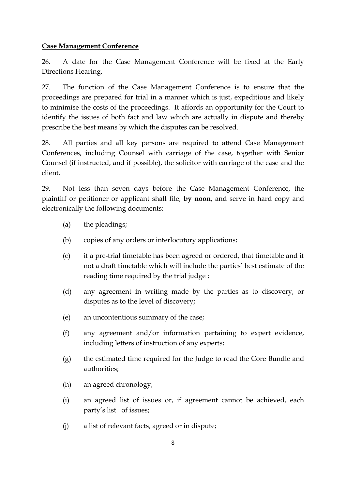#### **Case Management Conference**

26. A date for the Case Management Conference will be fixed at the Early Directions Hearing.

27. The function of the Case Management Conference is to ensure that the proceedings are prepared for trial in a manner which is just, expeditious and likely to minimise the costs of the proceedings. It affords an opportunity for the Court to identify the issues of both fact and law which are actually in dispute and thereby prescribe the best means by which the disputes can be resolved.

28. All parties and all key persons are required to attend Case Management Conferences, including Counsel with carriage of the case, together with Senior Counsel (if instructed, and if possible), the solicitor with carriage of the case and the client.

29. Not less than seven days before the Case Management Conference, the plaintiff or petitioner or applicant shall file, **by noon,** and serve in hard copy and electronically the following documents:

- (a) the pleadings;
- (b) copies of any orders or interlocutory applications;
- (c) if a pre-trial timetable has been agreed or ordered, that timetable and if not a draft timetable which will include the parties' best estimate of the reading time required by the trial judge ;
- (d) any agreement in writing made by the parties as to discovery, or disputes as to the level of discovery;
- (e) an uncontentious summary of the case;
- (f) any agreement and/or information pertaining to expert evidence, including letters of instruction of any experts;
- (g) the estimated time required for the Judge to read the Core Bundle and authorities;
- (h) an agreed chronology;
- (i) an agreed list of issues or, if agreement cannot be achieved, each party's list of issues;
- (j) a list of relevant facts, agreed or in dispute;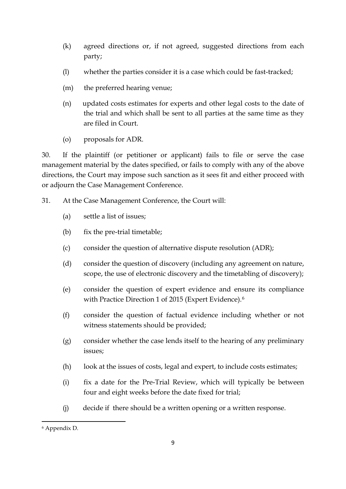- (k) agreed directions or, if not agreed, suggested directions from each party;
- (l) whether the parties consider it is a case which could be fast-tracked;
- (m) the preferred hearing venue;
- (n) updated costs estimates for experts and other legal costs to the date of the trial and which shall be sent to all parties at the same time as they are filed in Court.
- (o) proposals for ADR.

30. If the plaintiff (or petitioner or applicant) fails to file or serve the case management material by the dates specified, or fails to comply with any of the above directions, the Court may impose such sanction as it sees fit and either proceed with or adjourn the Case Management Conference.

- 31. At the Case Management Conference, the Court will:
	- (a) settle a list of issues;
	- (b) fix the pre-trial timetable;
	- (c) consider the question of alternative dispute resolution (ADR);
	- (d) consider the question of discovery (including any agreement on nature, scope, the use of electronic discovery and the timetabling of discovery);
	- (e) consider the question of expert evidence and ensure its compliance with Practice Direction 1 of 2015 (Expert Evidence).[6](#page-8-0)
	- (f) consider the question of factual evidence including whether or not witness statements should be provided;
	- (g) consider whether the case lends itself to the hearing of any preliminary issues;
	- (h) look at the issues of costs, legal and expert, to include costs estimates;
	- (i) fix a date for the Pre-Trial Review, which will typically be between four and eight weeks before the date fixed for trial;
	- (j) decide if there should be a written opening or a written response.

**.** 

<span id="page-8-0"></span><sup>6</sup> Appendix D.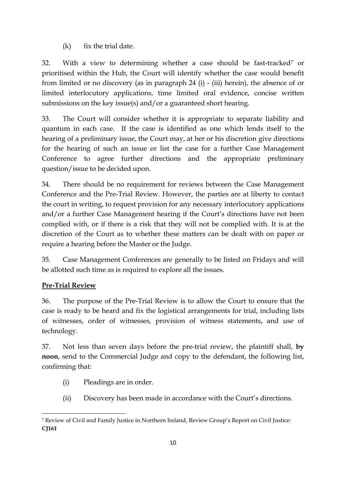$(k)$  fix the trial date.

32. With a view to determining whether a case should be fast-tracked<sup>[7](#page-9-0)</sup> or prioritised within the Hub, the Court will identify whether the case would benefit from limited or no discovery (as in paragraph 24 (i) - (iii) herein), the absence of or limited interlocutory applications, time limited oral evidence, concise written submissions on the key issue(s) and/or a guaranteed short hearing.

33. The Court will consider whether it is appropriate to separate liability and quantum in each case. If the case is identified as one which lends itself to the hearing of a preliminary issue, the Court may, at her or his discretion give directions for the hearing of such an issue or list the case for a further Case Management Conference to agree further directions and the appropriate preliminary question/issue to be decided upon.

34. There should be no requirement for reviews between the Case Management Conference and the Pre-Trial Review. However, the parties are at liberty to contact the court in writing, to request provision for any necessary interlocutory applications and/or a further Case Management hearing if the Court's directions have not been complied with, or if there is a risk that they will not be complied with. It is at the discretion of the Court as to whether these matters can be dealt with on paper or require a hearing before the Master or the Judge.

35. Case Management Conferences are generally to be listed on Fridays and will be allotted such time as is required to explore all the issues.

# **Pre-Trial Review**

36. The purpose of the Pre-Trial Review is to allow the Court to ensure that the case is ready to be heard and fix the logistical arrangements for trial, including lists of witnesses, order of witnesses, provision of witness statements, and use of technology.

37. Not less than seven days before the pre-trial review, the plaintiff shall, **by noon**, send to the Commercial Judge and copy to the defendant, the following list, confirming that:

- (i) Pleadings are in order.
- (ii) Discovery has been made in accordance with the Court's directions.

<span id="page-9-0"></span>**<sup>.</sup>** <sup>7</sup> Review of Civil and Family Justice in Northern Ireland, Review Group's Report on Civil Justice: **CJ161**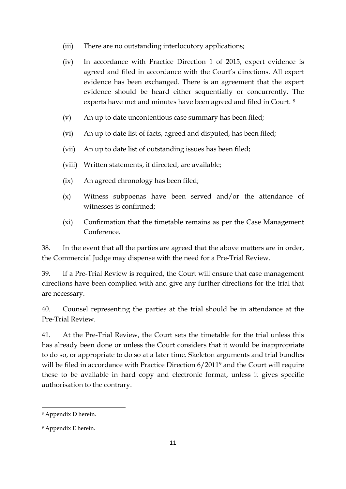- (iii) There are no outstanding interlocutory applications;
- (iv) In accordance with Practice Direction 1 of 2015, expert evidence is agreed and filed in accordance with the Court's directions. All expert evidence has been exchanged. There is an agreement that the expert evidence should be heard either sequentially or concurrently. The experts have met and minutes have been agreed and filed in Court. [8](#page-10-0)
- (v) An up to date uncontentious case summary has been filed;
- (vi) An up to date list of facts, agreed and disputed, has been filed;
- (vii) An up to date list of outstanding issues has been filed;
- (viii) Written statements, if directed, are available;
- (ix) An agreed chronology has been filed;
- (x) Witness subpoenas have been served and/or the attendance of witnesses is confirmed;
- (xi) Confirmation that the timetable remains as per the Case Management Conference.

38. In the event that all the parties are agreed that the above matters are in order, the Commercial Judge may dispense with the need for a Pre-Trial Review.

39. If a Pre-Trial Review is required, the Court will ensure that case management directions have been complied with and give any further directions for the trial that are necessary.

40. Counsel representing the parties at the trial should be in attendance at the Pre-Trial Review.

41. At the Pre-Trial Review, the Court sets the timetable for the trial unless this has already been done or unless the Court considers that it would be inappropriate to do so, or appropriate to do so at a later time. Skeleton arguments and trial bundles will be filed in accordance with Practice Direction 6/2011<sup>[9](#page-10-1)</sup> and the Court will require these to be available in hard copy and electronic format, unless it gives specific authorisation to the contrary.

1

<span id="page-10-0"></span><sup>8</sup> Appendix D herein.

<span id="page-10-1"></span><sup>9</sup> Appendix E herein.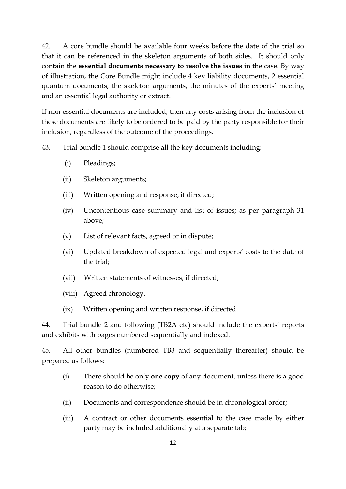42. A core bundle should be available four weeks before the date of the trial so that it can be referenced in the skeleton arguments of both sides. It should only contain the **essential documents necessary to resolve the issues** in the case. By way of illustration, the Core Bundle might include 4 key liability documents, 2 essential quantum documents, the skeleton arguments, the minutes of the experts' meeting and an essential legal authority or extract.

If non-essential documents are included, then any costs arising from the inclusion of these documents are likely to be ordered to be paid by the party responsible for their inclusion, regardless of the outcome of the proceedings.

43. Trial bundle 1 should comprise all the key documents including:

- (i) Pleadings;
- (ii) Skeleton arguments;
- (iii) Written opening and response, if directed;
- (iv) Uncontentious case summary and list of issues; as per paragraph 31 above;
- (v) List of relevant facts, agreed or in dispute;
- (vi) Updated breakdown of expected legal and experts' costs to the date of the trial;
- (vii) Written statements of witnesses, if directed;
- (viii) Agreed chronology.
- (ix) Written opening and written response, if directed.

44. Trial bundle 2 and following (TB2A etc) should include the experts' reports and exhibits with pages numbered sequentially and indexed.

45. All other bundles (numbered TB3 and sequentially thereafter) should be prepared as follows:

- (i) There should be only **one copy** of any document, unless there is a good reason to do otherwise;
- (ii) Documents and correspondence should be in chronological order;
- (iii) A contract or other documents essential to the case made by either party may be included additionally at a separate tab;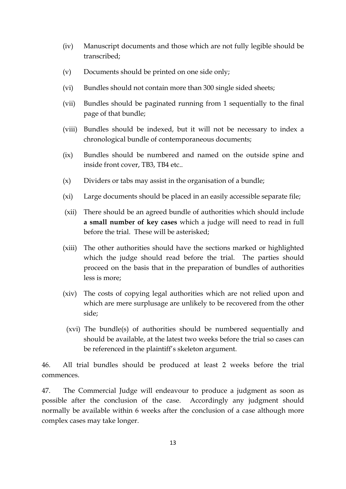- (iv) Manuscript documents and those which are not fully legible should be transcribed;
- (v) Documents should be printed on one side only;
- (vi) Bundles should not contain more than 300 single sided sheets;
- (vii) Bundles should be paginated running from 1 sequentially to the final page of that bundle;
- (viii) Bundles should be indexed, but it will not be necessary to index a chronological bundle of contemporaneous documents;
- (ix) Bundles should be numbered and named on the outside spine and inside front cover, TB3, TB4 etc..
- (x) Dividers or tabs may assist in the organisation of a bundle;
- (xi) Large documents should be placed in an easily accessible separate file;
- (xii) There should be an agreed bundle of authorities which should include **a small number of key cases** which a judge will need to read in full before the trial. These will be asterisked;
- (xiii) The other authorities should have the sections marked or highlighted which the judge should read before the trial. The parties should proceed on the basis that in the preparation of bundles of authorities less is more;
- (xiv) The costs of copying legal authorities which are not relied upon and which are mere surplusage are unlikely to be recovered from the other side;
- (xvi) The bundle(s) of authorities should be numbered sequentially and should be available, at the latest two weeks before the trial so cases can be referenced in the plaintiff's skeleton argument.

46. All trial bundles should be produced at least 2 weeks before the trial commences.

47. The Commercial Judge will endeavour to produce a judgment as soon as possible after the conclusion of the case. Accordingly any judgment should normally be available within 6 weeks after the conclusion of a case although more complex cases may take longer.